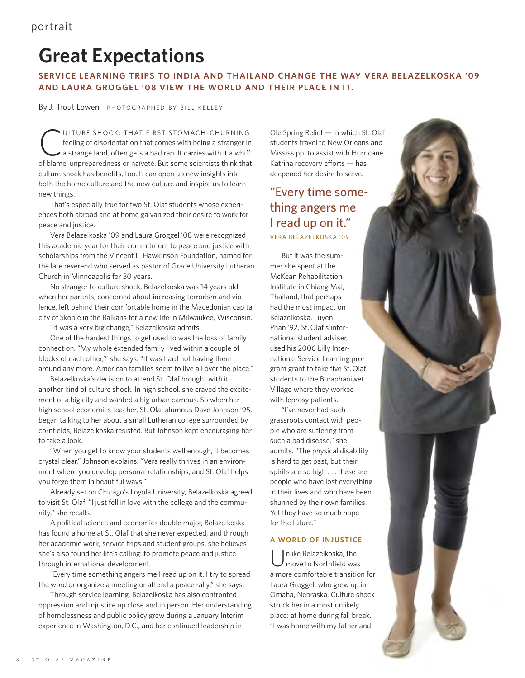# **Great Expectations**

**SERVICE LEARNING TRIPS TO INDIA AND THAILAND CHANGE THE WAY VERA BELAZELKOSKA '09 AND LAURA GROGGEL '08 VIEW THE WORLD AND THEIR PLACE IN IT.**

By J. Trout Lowen PHOTOGRAPHED BY BILL KELLEY

ULTURE SHOCK: THAT FIRST STOMACH-CHURNING feeling of disorientation that comes with being a stranger in a strange land, often gets a bad rap. It carries with it a whiff of blame, unpreparedness or naïveté. But some scientists think that culture shock has benefits, too. It can open up new insights into both the home culture and the new culture and inspire us to learn new things.

That's especially true for two St. Olaf students whose experiences both abroad and at home galvanized their desire to work for peace and justice.

Vera Belazelkoska '09 and Laura Groggel '08 were recognized this academic year for their commitment to peace and justice with scholarships from the Vincent L. Hawkinson Foundation, named for the late reverend who served as pastor of Grace University Lutheran Church in Minneapolis for 30 years.

No stranger to culture shock, Belazelkoska was 14 years old when her parents, concerned about increasing terrorism and violence, left behind their comfortable home in the Macedonian capital city of Skopje in the Balkans for a new life in Milwaukee, Wisconsin.

"It was a very big change," Belazelkoska admits.

One of the hardest things to get used to was the loss of family connection. "My whole extended family lived within a couple of blocks of each other,'" she says. "It was hard not having them around any more. American families seem to live all over the place."

Belazelkoska's decision to attend St. Olaf brought with it another kind of culture shock. In high school, she craved the excitement of a big city and wanted a big urban campus. So when her high school economics teacher, St. Olaf alumnus Dave Johnson '95, began talking to her about a small Lutheran college surrounded by cornfields, Belazelkoska resisted. But Johnson kept encouraging her to take a look.

"When you get to know your students well enough, it becomes crystal clear," Johnson explains. "Vera really thrives in an environment where you develop personal relationships, and St. Olaf helps you forge them in beautiful ways."

Already set on Chicago's Loyola University, Belazelkoska agreed to visit St. Olaf. "I just fell in love with the college and the community," she recalls.

A political science and economics double major, Belazelkoska has found a home at St. Olaf that she never expected, and through her academic work, service trips and student groups, she believes she's also found her life's calling: to promote peace and justice through international development.

"Every time something angers me I read up on it. I try to spread the word or organize a meeting or attend a peace rally," she says.

Through service learning, Belazelkoska has also confronted oppression and injustice up close and in person. Her understanding of homelessness and public policy grew during a January Interim experience in Washington, D.C., and her continued leadership in

Ole Spring Relief — in which St. Olaf students travel to New Orleans and Mississippi to assist with Hurricane Katrina recovery efforts — has deepened her desire to serve.

## "Every time something angers me I read up on it." VERA BELAZELKOSKA '09

But it was the summer she spent at the McKean Rehabilitation Institute in Chiang Mai, Thailand, that perhaps had the most impact on Belazelkoska. Luyen Phan '92, St.Olaf's international student adviser, used his 2006 Lilly International Service Learning program grant to take five St.Olaf students to the Buraphaniwet Village where they worked with leprosy patients.

"I've never had such grassroots contact with people who are suffering from such a bad disease," she admits. "The physical disability is hard to get past, but their spirits are so high . . . these are people who have lost everything in their lives and who have been shunned by their own families. Yet they have so much hope for the future."

#### **A WORLD OF INJUSTICE**

Unlike Belazelkoska, the<br>move to Northfield was a more comfortable transition for Laura Groggel, who grew up in Omaha, Nebraska. Culture shock struck her in a most unlikely place: at home during fall break. "I was home with my father and